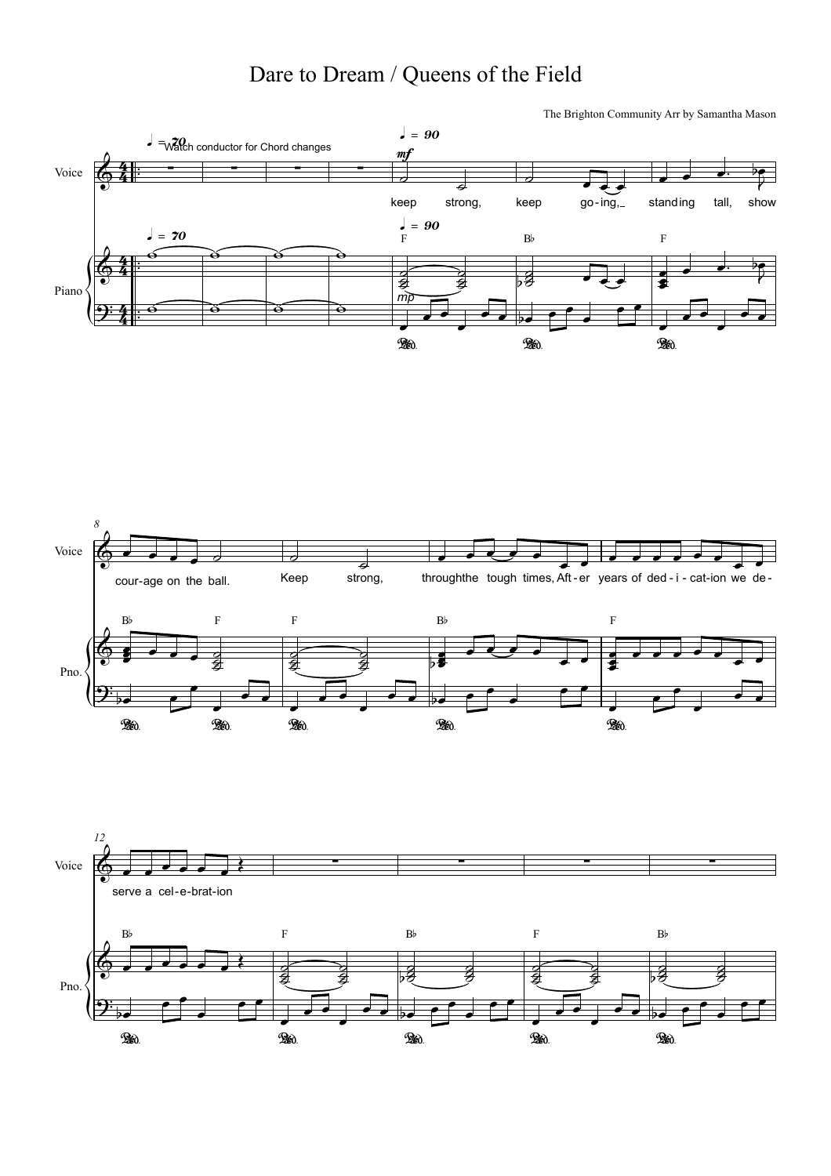## Dare to Dream / Queens of the Field<br>The Brighton Community Arr by Samantha Mason





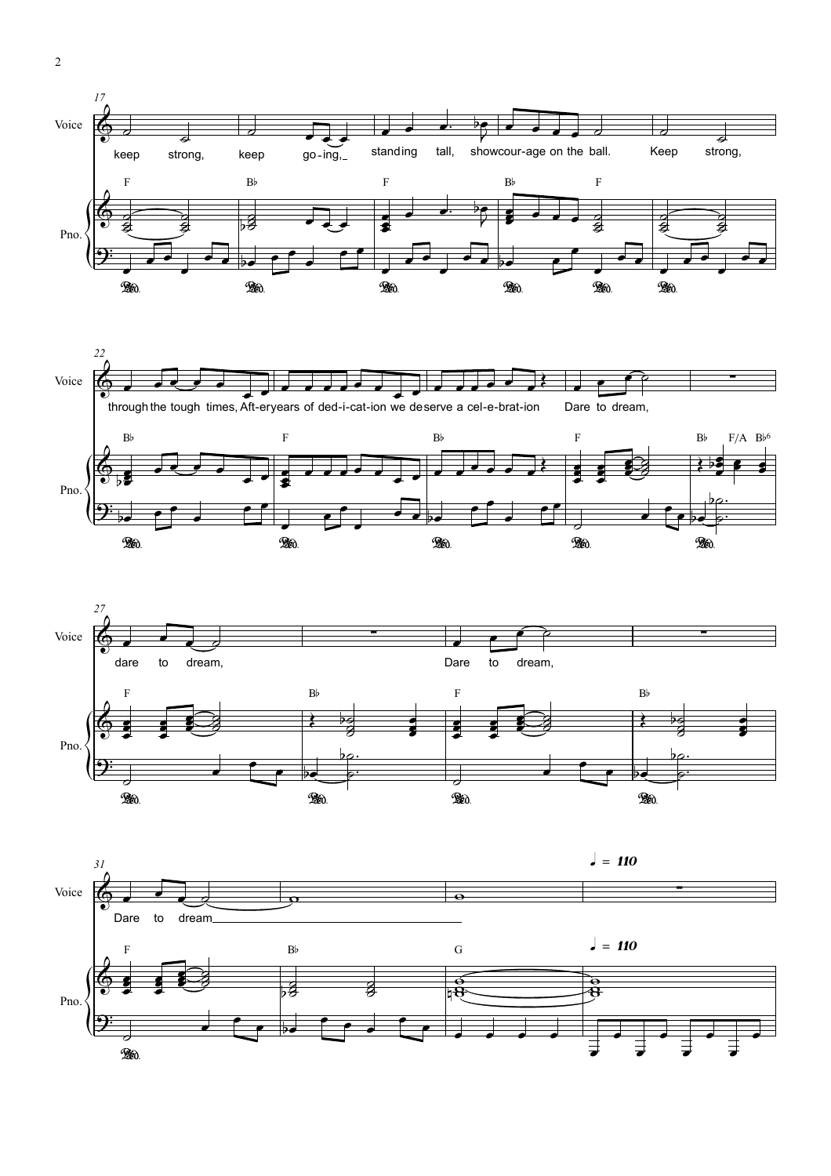





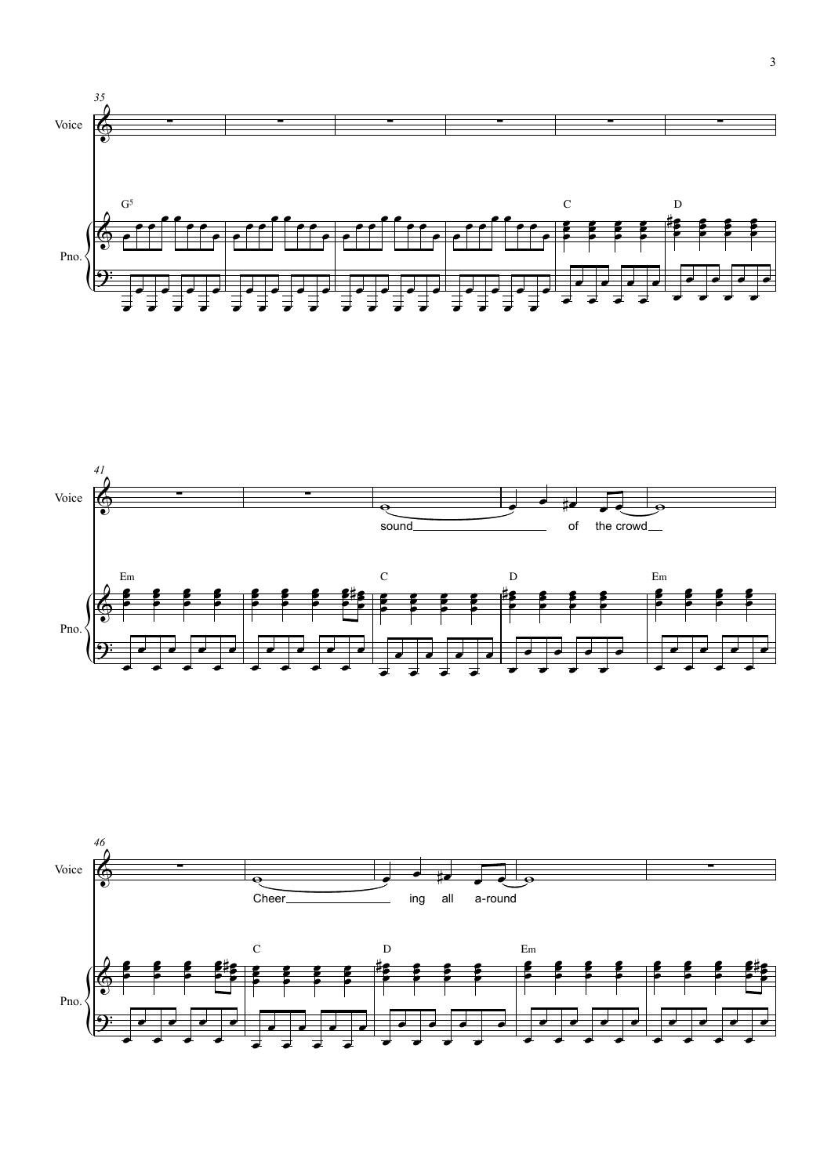



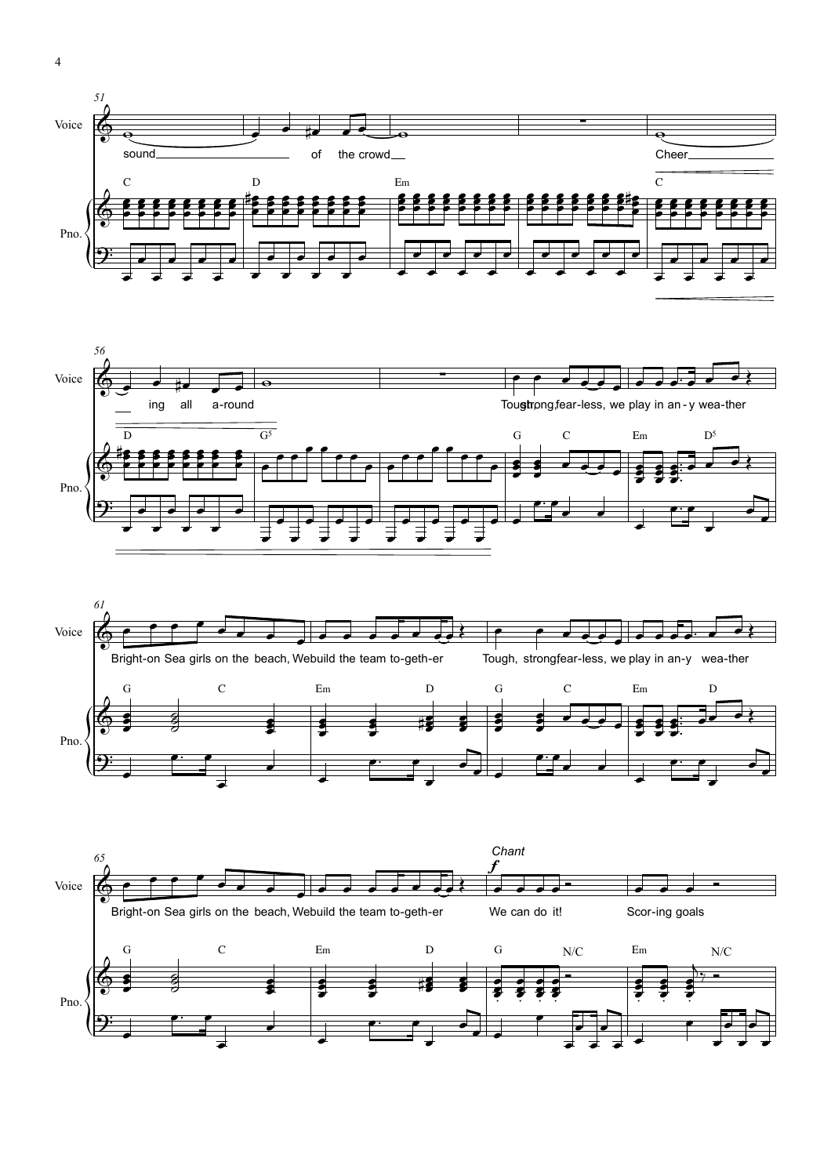







 $\overline{4}$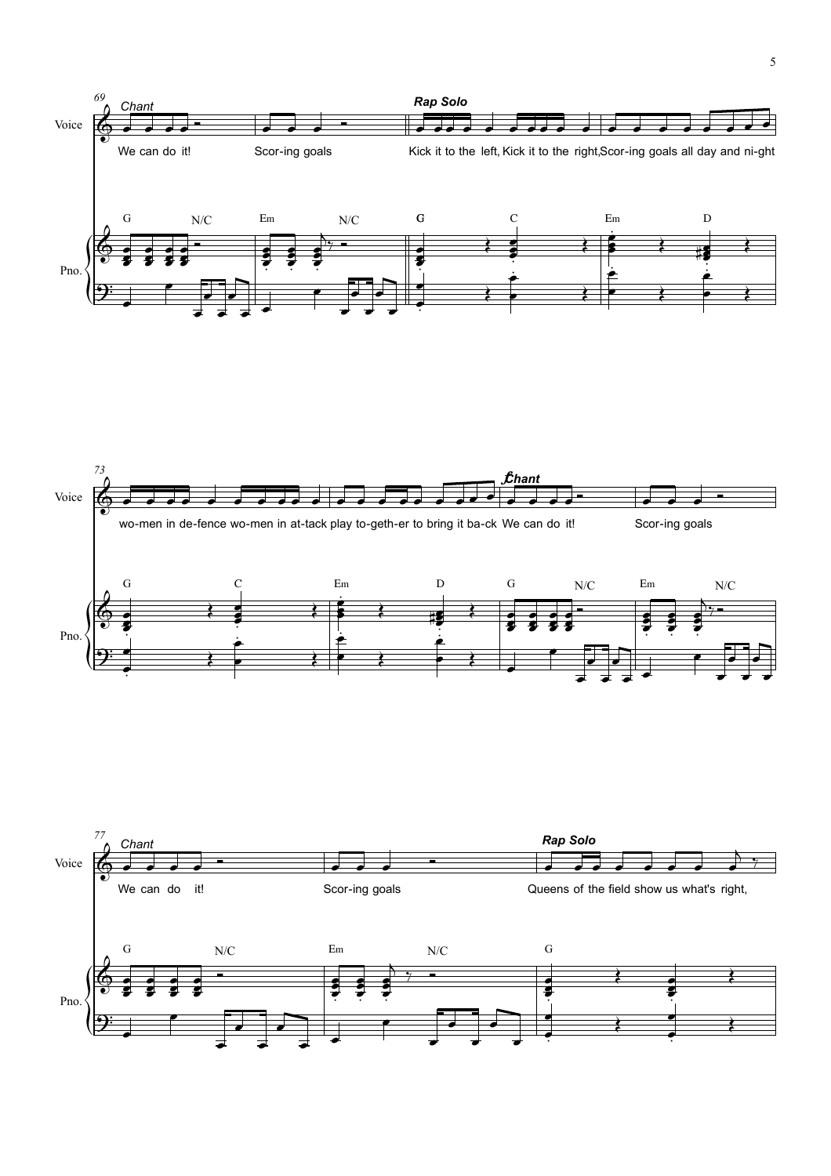



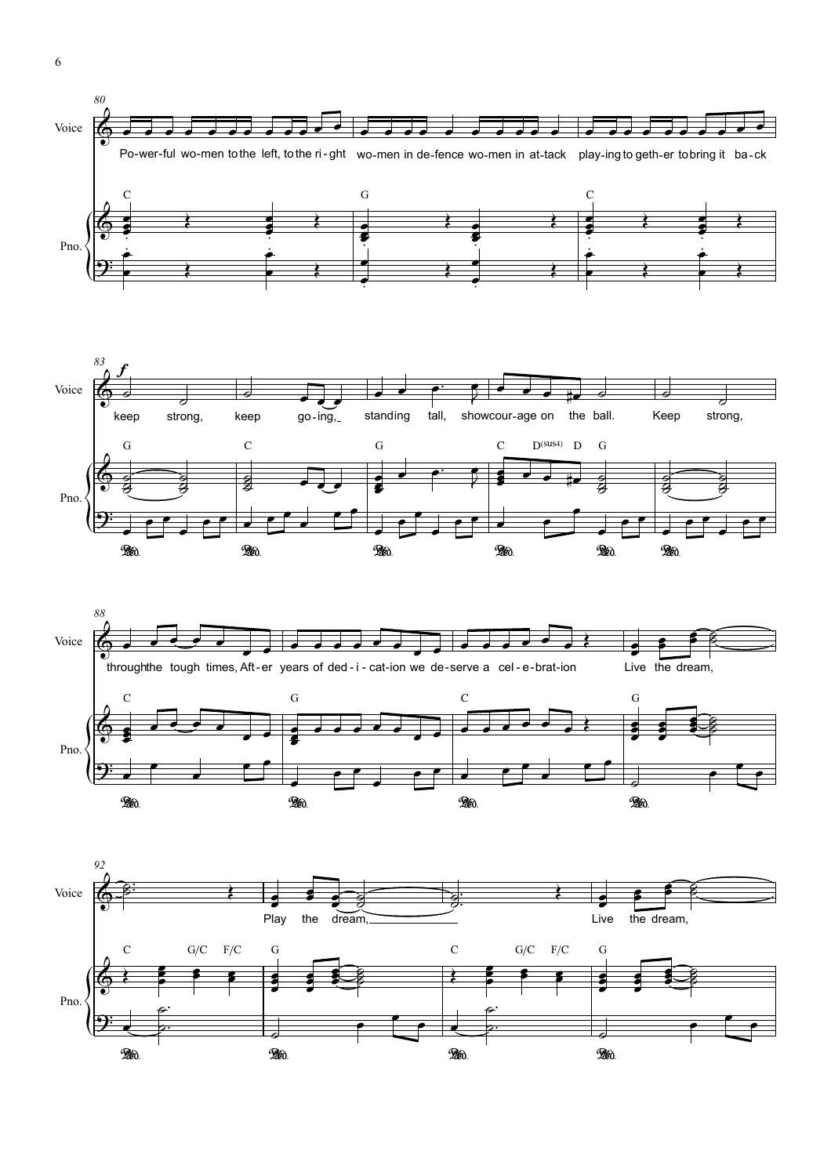